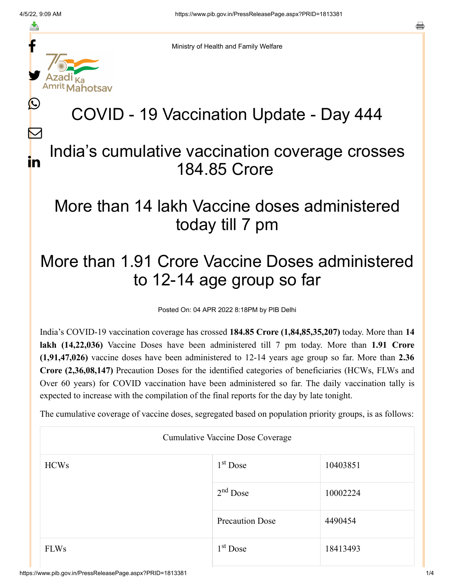f

≛

y.

L

 $\bm{\nabla}$ 

in

a

Ministry of Health and Family Welfare

# COVID - 19 Vaccination Update - Day 444

#### India's cumulative vaccination coverage crosses 184.85 Crore

### More than 14 lakh Vaccine doses administered today till 7 pm

## More than 1.91 Crore Vaccine Doses administered to 12-14 age group so far

Posted On: 04 APR 2022 8:18PM by PIB Delhi

India's COVID-19 vaccination coverage has crossed **184.85 Crore (1,84,85,35,207)** today. More than **14 lakh (14,22,036)** Vaccine Doses have been administered till 7 pm today. More than **1.91 Crore (1,91,47,026)** vaccine doses have been administered to 12-14 years age group so far. More than **2.36 Crore (2,36,08,147)** Precaution Doses for the identified categories of beneficiaries (HCWs, FLWs and Over 60 years) for COVID vaccination have been administered so far. The daily vaccination tally is expected to increase with the compilation of the final reports for the day by late tonight.

The cumulative coverage of vaccine doses, segregated based on population priority groups, is as follows:

| Cumulative Vaccine Dose Coverage |                        |          |  |  |
|----------------------------------|------------------------|----------|--|--|
| <b>HCWs</b>                      | $1st$ Dose             | 10403851 |  |  |
|                                  | $2nd$ Dose             | 10002224 |  |  |
|                                  | <b>Precaution Dose</b> | 4490454  |  |  |
| <b>FLWs</b>                      | $1st$ Dose             | 18413493 |  |  |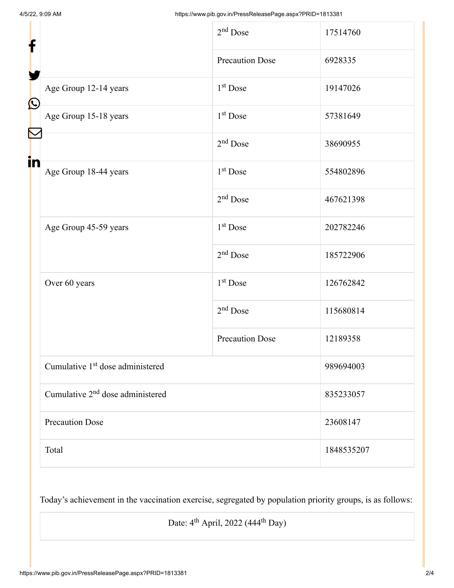| f                |                                              | $2nd$ Dose             | 17514760   |
|------------------|----------------------------------------------|------------------------|------------|
| $\bigcirc$       |                                              | <b>Precaution Dose</b> | 6928335    |
|                  | Age Group 12-14 years                        | 1 <sup>st</sup> Dose   | 19147026   |
|                  | Age Group 15-18 years                        | $1st$ Dose             | 57381649   |
| $\mathbf \Sigma$ |                                              | $2nd$ Dose             | 38690955   |
| in               | Age Group 18-44 years                        | 1 <sup>st</sup> Dose   | 554802896  |
|                  |                                              | $2nd$ Dose             | 467621398  |
|                  | Age Group 45-59 years                        | 1 <sup>st</sup> Dose   | 202782246  |
|                  |                                              | $2nd$ Dose             | 185722906  |
|                  | Over 60 years                                | 1 <sup>st</sup> Dose   | 126762842  |
|                  |                                              | $2nd$ Dose             | 115680814  |
|                  |                                              | <b>Precaution Dose</b> | 12189358   |
|                  | Cumulative 1 <sup>st</sup> dose administered |                        | 989694003  |
|                  | Cumulative 2 <sup>nd</sup> dose administered |                        | 835233057  |
|                  | <b>Precaution Dose</b>                       |                        | 23608147   |
|                  | Total                                        |                        | 1848535207 |

Today's achievement in the vaccination exercise, segregated by population priority groups, is as follows:

Date:  $4^{\text{th}}$  April, 2022 (444<sup>th</sup> Day)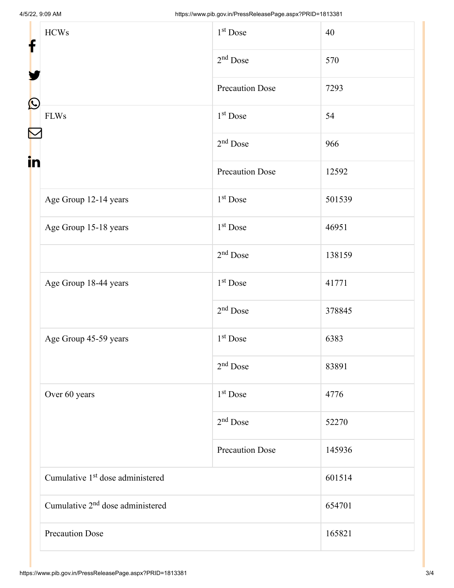| f            | <b>HCWs</b><br><b>FLWs</b>                   | $1st$ Dose             | 40     |
|--------------|----------------------------------------------|------------------------|--------|
|              |                                              | $2nd$ Dose             | 570    |
|              |                                              | <b>Precaution Dose</b> | 7293   |
| $\bf \Omega$ |                                              | $1st$ Dose             | 54     |
|              |                                              | $2nd$ Dose             | 966    |
| in           |                                              | <b>Precaution Dose</b> | 12592  |
|              | Age Group 12-14 years                        | $1st$ Dose             | 501539 |
|              | Age Group 15-18 years                        | $1st$ Dose             | 46951  |
|              |                                              | $2nd$ Dose             | 138159 |
|              | Age Group 18-44 years                        | $1st$ Dose             | 41771  |
|              |                                              | $2nd$ Dose             | 378845 |
|              | Age Group 45-59 years                        | $1st$ Dose             | 6383   |
|              |                                              | $2nd$ Dose             | 83891  |
|              | Over 60 years                                | 1 <sup>st</sup> Dose   | 4776   |
|              |                                              | $2nd$ Dose             | 52270  |
|              |                                              | <b>Precaution Dose</b> | 145936 |
|              | Cumulative 1 <sup>st</sup> dose administered |                        | 601514 |
|              | Cumulative 2 <sup>nd</sup> dose administered |                        | 654701 |
|              | <b>Precaution Dose</b>                       |                        | 165821 |